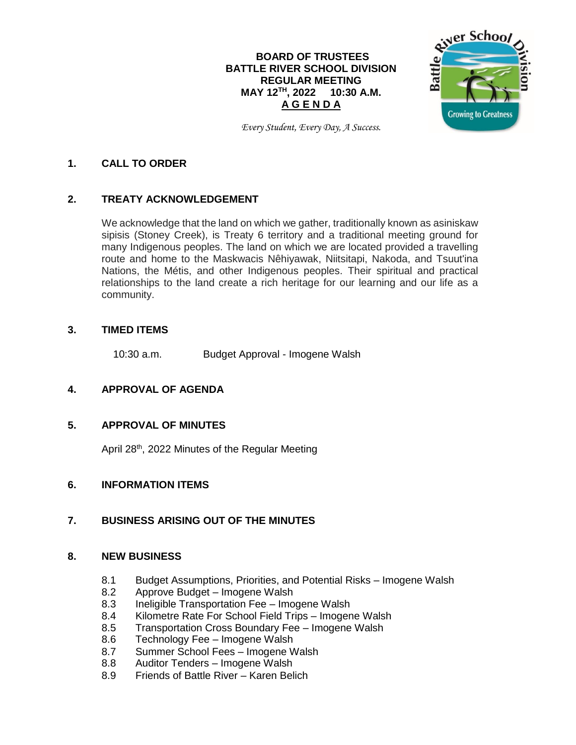## **BOARD OF TRUSTEES BATTLE RIVER SCHOOL DIVISION REGULAR MEETING MAY 12 TH , 2022 10:30 A.M. A G E N D A**



*Every Student, Every Day, A Success.*

#### **1. CALL TO ORDER**

## **2. TREATY ACKNOWLEDGEMENT**

We acknowledge that the land on which we gather, traditionally known as asiniskaw sipisis (Stoney Creek), is Treaty 6 territory and a traditional meeting ground for many Indigenous peoples. The land on which we are located provided a travelling route and home to the Maskwacis Nêhiyawak, Niitsitapi, Nakoda, and Tsuut'ina Nations, the Métis, and other Indigenous peoples. Their spiritual and practical relationships to the land create a rich heritage for our learning and our life as a community.

#### **3. TIMED ITEMS**

10:30 a.m. Budget Approval - Imogene Walsh

## **4. APPROVAL OF AGENDA**

## **5. APPROVAL OF MINUTES**

April 28<sup>th</sup>, 2022 Minutes of the Regular Meeting

## **6. INFORMATION ITEMS**

## **7. BUSINESS ARISING OUT OF THE MINUTES**

#### **8. NEW BUSINESS**

- 8.1 Budget Assumptions, Priorities, and Potential Risks Imogene Walsh
- 8.2 Approve Budget Imogene Walsh
- 8.3 Ineligible Transportation Fee Imogene Walsh
- 8.4 Kilometre Rate For School Field Trips Imogene Walsh
- 8.5 Transportation Cross Boundary Fee Imogene Walsh
- 8.6 Technology Fee Imogene Walsh
- 8.7 Summer School Fees Imogene Walsh
- 8.8 Auditor Tenders Imogene Walsh
- 8.9 Friends of Battle River Karen Belich